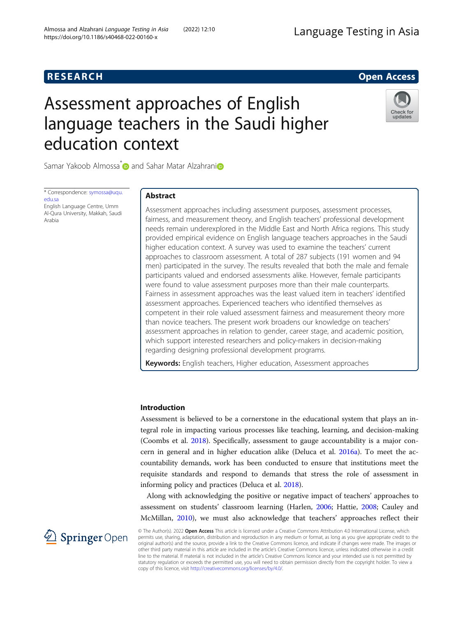## **RESEARCH RESEARCH** *CHECKER CHECKER CHECKER CHECKER CHECKER CHECKER CHECKER CHECKER CHECKER CHECKER CHECKER*

# Assessment approaches of English language teachers in the Saudi higher education context



Samar Yakoob Almossa<sup>[\\*](http://orcid.org/0000-0001-8664-6512)</sup> and Sahar Matar Alzahrani<sup>n</sup>

\* Correspondence: [symossa@uqu.](mailto:symossa@uqu.edu.sa) [edu.sa](mailto:symossa@uqu.edu.sa) English Language Centre, Umm Al-Qura University, Makkah, Saudi

Arabia

## Abstract

Assessment approaches including assessment purposes, assessment processes, fairness, and measurement theory, and English teachers' professional development needs remain underexplored in the Middle East and North Africa regions. This study provided empirical evidence on English language teachers approaches in the Saudi higher education context. A survey was used to examine the teachers' current approaches to classroom assessment. A total of 287 subjects (191 women and 94 men) participated in the survey. The results revealed that both the male and female participants valued and endorsed assessments alike. However, female participants were found to value assessment purposes more than their male counterparts. Fairness in assessment approaches was the least valued item in teachers' identified assessment approaches. Experienced teachers who identified themselves as competent in their role valued assessment fairness and measurement theory more than novice teachers. The present work broadens our knowledge on teachers' assessment approaches in relation to gender, career stage, and academic position, which support interested researchers and policy-makers in decision-making regarding designing professional development programs.

**Keywords:** English teachers, Higher education, Assessment approaches

## Introduction

Assessment is believed to be a cornerstone in the educational system that plays an integral role in impacting various processes like teaching, learning, and decision-making (Coombs et al. [2018](#page-14-0)). Specifically, assessment to gauge accountability is a major concern in general and in higher education alike (Deluca et al. [2016a](#page-14-0)). To meet the accountability demands, work has been conducted to ensure that institutions meet the requisite standards and respond to demands that stress the role of assessment in informing policy and practices (Deluca et al. [2018\)](#page-14-0).

Along with acknowledging the positive or negative impact of teachers' approaches to assessment on students' classroom learning (Harlen, [2006;](#page-14-0) Hattie, [2008;](#page-14-0) Cauley and McMillan, [2010](#page-14-0)), we must also acknowledge that teachers' approaches reflect their

2 Springer Open

© The Author(s). 2022 Open Access This article is licensed under a Creative Commons Attribution 4.0 International License, which permits use, sharing, adaptation, distribution and reproduction in any medium or format, as long as you give appropriate credit to the original author(s) and the source, provide a link to the Creative Commons licence, and indicate if changes were made. The images or other third party material in this article are included in the article's Creative Commons licence, unless indicated otherwise in a credit line to the material. If material is not included in the article's Creative Commons licence and your intended use is not permitted by statutory regulation or exceeds the permitted use, you will need to obtain permission directly from the copyright holder. To view a copy of this licence, visit <http://creativecommons.org/licenses/by/4.0/>.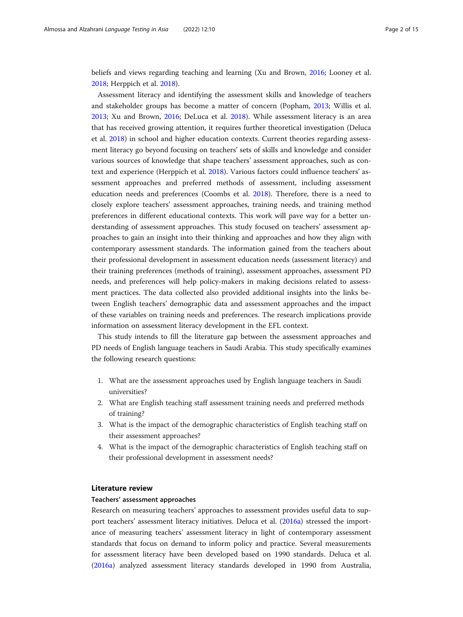beliefs and views regarding teaching and learning (Xu and Brown, [2016;](#page-14-0) Looney et al. [2018](#page-14-0); Herppich et al. [2018\)](#page-14-0).

Assessment literacy and identifying the assessment skills and knowledge of teachers and stakeholder groups has become a matter of concern (Popham, [2013;](#page-14-0) Willis et al. [2013](#page-14-0); Xu and Brown, [2016;](#page-14-0) DeLuca et al. [2018](#page-14-0)). While assessment literacy is an area that has received growing attention, it requires further theoretical investigation (Deluca et al. [2018](#page-14-0)) in school and higher education contexts. Current theories regarding assessment literacy go beyond focusing on teachers' sets of skills and knowledge and consider various sources of knowledge that shape teachers' assessment approaches, such as context and experience (Herppich et al. [2018\)](#page-14-0). Various factors could influence teachers' assessment approaches and preferred methods of assessment, including assessment education needs and preferences (Coombs et al. [2018](#page-14-0)). Therefore, there is a need to closely explore teachers' assessment approaches, training needs, and training method preferences in different educational contexts. This work will pave way for a better understanding of assessment approaches. This study focused on teachers' assessment approaches to gain an insight into their thinking and approaches and how they align with contemporary assessment standards. The information gained from the teachers about their professional development in assessment education needs (assessment literacy) and their training preferences (methods of training), assessment approaches, assessment PD needs, and preferences will help policy-makers in making decisions related to assessment practices. The data collected also provided additional insights into the links between English teachers' demographic data and assessment approaches and the impact of these variables on training needs and preferences. The research implications provide information on assessment literacy development in the EFL context.

This study intends to fill the literature gap between the assessment approaches and PD needs of English language teachers in Saudi Arabia. This study specifically examines the following research questions:

- 1. What are the assessment approaches used by English language teachers in Saudi universities?
- 2. What are English teaching staff assessment training needs and preferred methods of training?
- 3. What is the impact of the demographic characteristics of English teaching staff on their assessment approaches?
- 4. What is the impact of the demographic characteristics of English teaching staff on their professional development in assessment needs?

## Literature review

## Teachers' assessment approaches

Research on measuring teachers' approaches to assessment provides useful data to support teachers' assessment literacy initiatives. Deluca et al. ([2016a](#page-14-0)) stressed the importance of measuring teachers' assessment literacy in light of contemporary assessment standards that focus on demand to inform policy and practice. Several measurements for assessment literacy have been developed based on 1990 standards. Deluca et al. ([2016a\)](#page-14-0) analyzed assessment literacy standards developed in 1990 from Australia,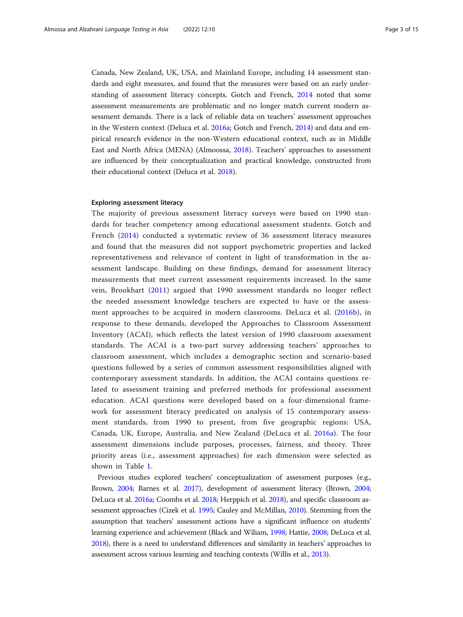Canada, New Zealand, UK, USA, and Mainland Europe, including 14 assessment standards and eight measures, and found that the measures were based on an early understanding of assessment literacy concepts. Gotch and French, [2014](#page-14-0) noted that some assessment measurements are problematic and no longer match current modern assessment demands. There is a lack of reliable data on teachers' assessment approaches in the Western context (Deluca et al. [2016a;](#page-14-0) Gotch and French, [2014\)](#page-14-0) and data and empirical research evidence in the non-Western educational context, such as in Middle East and North Africa (MENA) (Almoossa, [2018](#page-13-0)). Teachers' approaches to assessment are influenced by their conceptualization and practical knowledge, constructed from their educational context (Deluca et al. [2018\)](#page-14-0).

## Exploring assessment literacy

The majority of previous assessment literacy surveys were based on 1990 standards for teacher competency among educational assessment students. Gotch and French ([2014\)](#page-14-0) conducted a systematic review of 36 assessment literacy measures and found that the measures did not support psychometric properties and lacked representativeness and relevance of content in light of transformation in the assessment landscape. Building on these findings, demand for assessment literacy measurements that meet current assessment requirements increased. In the same vein, Brookhart ([2011\)](#page-13-0) argued that 1990 assessment standards no longer reflect the needed assessment knowledge teachers are expected to have or the assessment approaches to be acquired in modern classrooms. DeLuca et al. ([2016b](#page-14-0)), in response to these demands, developed the Approaches to Classroom Assessment Inventory (ACAI), which reflects the latest version of 1990 classroom assessment standards. The ACAI is a two-part survey addressing teachers' approaches to classroom assessment, which includes a demographic section and scenario-based questions followed by a series of common assessment responsibilities aligned with contemporary assessment standards. In addition, the ACAI contains questions related to assessment training and preferred methods for professional assessment education. ACAI questions were developed based on a four-dimensional framework for assessment literacy predicated on analysis of 15 contemporary assessment standards, from 1990 to present, from five geographic regions: USA, Canada, UK, Europe, Australia, and New Zealand (DeLuca et al. [2016a](#page-14-0)). The four assessment dimensions include purposes, processes, fairness, and theory. Three priority areas (i.e., assessment approaches) for each dimension were selected as shown in Table [1](#page-3-0).

Previous studies explored teachers' conceptualization of assessment purposes (e.g., Brown, [2004;](#page-14-0) Barnes et al. [2017\)](#page-13-0), development of assessment literacy (Brown, [2004](#page-14-0); DeLuca et al. [2016a;](#page-14-0) Coombs et al. [2018;](#page-14-0) Herppich et al. [2018](#page-14-0)), and specific classroom assessment approaches (Cizek et al. [1995](#page-14-0); Cauley and McMillan, [2010\)](#page-14-0). Stemming from the assumption that teachers' assessment actions have a significant influence on students' learning experience and achievement (Black and Wiliam, [1998](#page-13-0); Hattie, [2008;](#page-14-0) DeLuca et al. [2018\)](#page-14-0), there is a need to understand differences and similarity in teachers' approaches to assessment across various learning and teaching contexts (Willis et al., [2013\)](#page-14-0).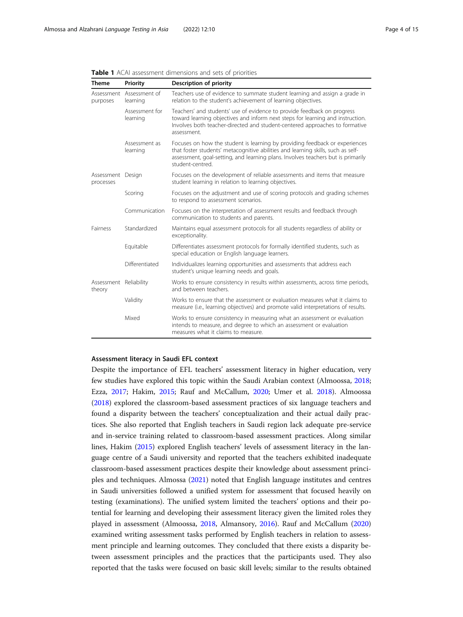| <b>Theme</b>                     | Priority                             | Description of priority                                                                                                                                                                                                                                                 |
|----------------------------------|--------------------------------------|-------------------------------------------------------------------------------------------------------------------------------------------------------------------------------------------------------------------------------------------------------------------------|
| purposes                         | Assessment Assessment of<br>learning | Teachers use of evidence to summate student learning and assign a grade in<br>relation to the student's achievement of learning objectives.                                                                                                                             |
|                                  | Assessment for<br>learning           | Teachers' and students' use of evidence to provide feedback on progress<br>toward learning objectives and inform next steps for learning and instruction.<br>Involves both teacher-directed and student-centered approaches to formative<br>assessment.                 |
|                                  | Assessment as<br>learning            | Focuses on how the student is learning by providing feedback or experiences<br>that foster students' metacognitive abilities and learning skills, such as self-<br>assessment, goal-setting, and learning plans. Involves teachers but is primarily<br>student-centred. |
| Assessment Design<br>processes   |                                      | Focuses on the development of reliable assessments and items that measure<br>student learning in relation to learning objectives.                                                                                                                                       |
|                                  | Scoring                              | Focuses on the adjustment and use of scoring protocols and grading schemes<br>to respond to assessment scenarios.                                                                                                                                                       |
|                                  | Communication                        | Focuses on the interpretation of assessment results and feedback through<br>communication to students and parents.                                                                                                                                                      |
| <b>Fairness</b>                  | Standardized                         | Maintains equal assessment protocols for all students regardless of ability or<br>exceptionality.                                                                                                                                                                       |
|                                  | Equitable                            | Differentiates assessment protocols for formally identified students, such as<br>special education or English language learners.                                                                                                                                        |
|                                  | Differentiated                       | Individualizes learning opportunities and assessments that address each<br>student's unique learning needs and goals.                                                                                                                                                   |
| Assessment Reliability<br>theory |                                      | Works to ensure consistency in results within assessments, across time periods,<br>and between teachers.                                                                                                                                                                |
|                                  | Validity                             | Works to ensure that the assessment or evaluation measures what it claims to<br>measure (i.e., learning objectives) and promote valid interpretations of results.                                                                                                       |
|                                  | Mixed                                | Works to ensure consistency in measuring what an assessment or evaluation<br>intends to measure, and degree to which an assessment or evaluation<br>measures what it claims to measure.                                                                                 |

<span id="page-3-0"></span>Table 1 ACAI assessment dimensions and sets of priorities

## Assessment literacy in Saudi EFL context

Despite the importance of EFL teachers' assessment literacy in higher education, very few studies have explored this topic within the Saudi Arabian context (Almoossa, [2018](#page-13-0); Ezza, [2017;](#page-14-0) Hakim, [2015;](#page-14-0) Rauf and McCallum, [2020](#page-14-0); Umer et al. [2018](#page-14-0)). Almoossa ([2018](#page-13-0)) explored the classroom-based assessment practices of six language teachers and found a disparity between the teachers' conceptualization and their actual daily practices. She also reported that English teachers in Saudi region lack adequate pre-service and in-service training related to classroom-based assessment practices. Along similar lines, Hakim [\(2015](#page-14-0)) explored English teachers' levels of assessment literacy in the language centre of a Saudi university and reported that the teachers exhibited inadequate classroom-based assessment practices despite their knowledge about assessment principles and techniques. Almossa ([2021](#page-13-0)) noted that English language institutes and centres in Saudi universities followed a unified system for assessment that focused heavily on testing (examinations). The unified system limited the teachers' options and their potential for learning and developing their assessment literacy given the limited roles they played in assessment (Almoossa, [2018,](#page-13-0) Almansory, [2016\)](#page-13-0). Rauf and McCallum ([2020](#page-14-0)) examined writing assessment tasks performed by English teachers in relation to assessment principle and learning outcomes. They concluded that there exists a disparity between assessment principles and the practices that the participants used. They also reported that the tasks were focused on basic skill levels; similar to the results obtained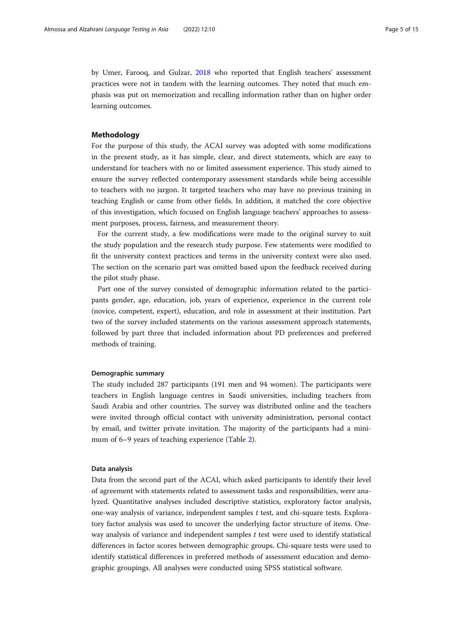by Umer, Farooq, and Gulzar, [2018](#page-14-0) who reported that English teachers' assessment practices were not in tandem with the learning outcomes. They noted that much emphasis was put on memorization and recalling information rather than on higher order learning outcomes.

## Methodology

For the purpose of this study, the ACAI survey was adopted with some modifications in the present study, as it has simple, clear, and direct statements, which are easy to understand for teachers with no or limited assessment experience. This study aimed to ensure the survey reflected contemporary assessment standards while being accessible to teachers with no jargon. It targeted teachers who may have no previous training in teaching English or came from other fields. In addition, it matched the core objective of this investigation, which focused on English language teachers' approaches to assessment purposes, process, fairness, and measurement theory.

For the current study, a few modifications were made to the original survey to suit the study population and the research study purpose. Few statements were modified to fit the university context practices and terms in the university context were also used. The section on the scenario part was omitted based upon the feedback received during the pilot study phase.

Part one of the survey consisted of demographic information related to the participants gender, age, education, job, years of experience, experience in the current role (novice, competent, expert), education, and role in assessment at their institution. Part two of the survey included statements on the various assessment approach statements, followed by part three that included information about PD preferences and preferred methods of training.

## Demographic summary

The study included 287 participants (191 men and 94 women). The participants were teachers in English language centres in Saudi universities, including teachers from Saudi Arabia and other countries. The survey was distributed online and the teachers were invited through official contact with university administration, personal contact by email, and twitter private invitation. The majority of the participants had a minimum of 6–9 years of teaching experience (Table [2](#page-5-0)).

## Data analysis

Data from the second part of the ACAI, which asked participants to identify their level of agreement with statements related to assessment tasks and responsibilities, were analyzed. Quantitative analyses included descriptive statistics, exploratory factor analysis, one-way analysis of variance, independent samples  $t$  test, and chi-square tests. Exploratory factor analysis was used to uncover the underlying factor structure of items. Oneway analysis of variance and independent samples t test were used to identify statistical differences in factor scores between demographic groups. Chi-square tests were used to identify statistical differences in preferred methods of assessment education and demographic groupings. All analyses were conducted using SPSS statistical software.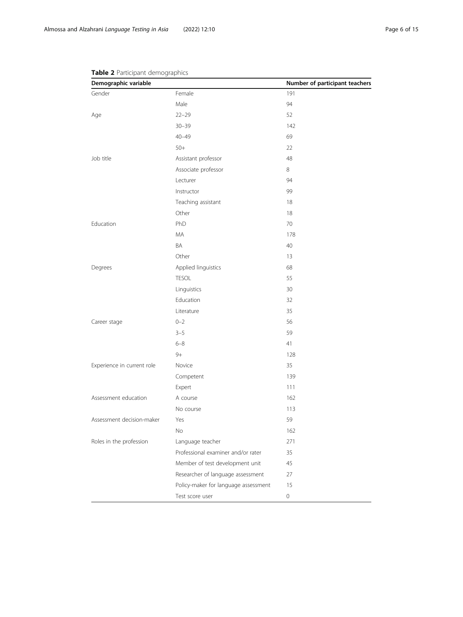| Demographic variable       |                                      | Number of participant teachers |
|----------------------------|--------------------------------------|--------------------------------|
| Gender                     | Female                               | 191                            |
|                            | Male                                 | 94                             |
| Age                        | $22 - 29$                            | 52                             |
|                            | $30 - 39$                            | 142                            |
|                            | $40 - 49$                            | 69                             |
|                            | $50+$                                | 22                             |
| Job title                  | Assistant professor                  | 48                             |
|                            | Associate professor                  | 8                              |
|                            | Lecturer                             | 94                             |
|                            | Instructor                           | 99                             |
|                            | Teaching assistant                   | 18                             |
|                            | Other                                | 18                             |
| Education                  | PhD                                  | 70                             |
|                            | <b>MA</b>                            | 178                            |
|                            | BA                                   | 40                             |
|                            | Other                                | 13                             |
| Degrees                    | Applied linguistics                  | 68                             |
|                            | <b>TESOL</b>                         | 55                             |
|                            | Linguistics                          | 30                             |
|                            | Education                            | 32                             |
|                            | Literature                           | 35                             |
| Career stage               | $0 - 2$                              | 56                             |
|                            | $3 - 5$                              | 59                             |
|                            | $6 - 8$                              | 41                             |
|                            | $9+$                                 | 128                            |
| Experience in current role | Novice                               | 35                             |
|                            | Competent                            | 139                            |
|                            | Expert                               | 111                            |
| Assessment education       | A course                             | 162                            |
|                            | No course                            | 113                            |
| Assessment decision-maker  | Yes                                  | 59                             |
|                            | No                                   | 162                            |
| Roles in the profession    | Language teacher                     | 271                            |
|                            | Professional examiner and/or rater   | 35                             |
|                            | Member of test development unit      | 45                             |
|                            | Researcher of language assessment    | 27                             |
|                            | Policy-maker for language assessment | 15                             |
|                            | Test score user                      | $\,0\,$                        |

## <span id="page-5-0"></span>Table 2 Participant demographics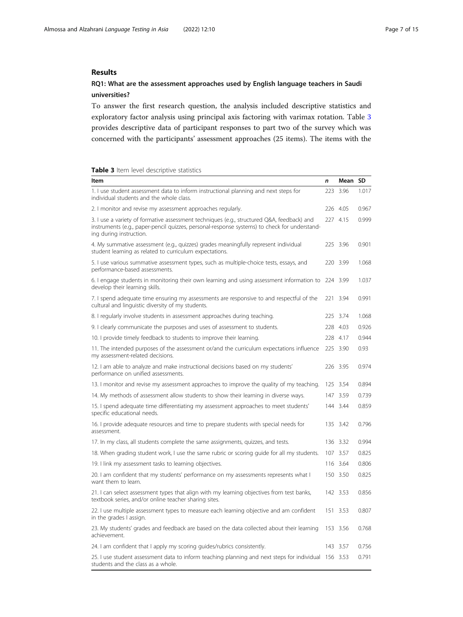## Results

## RQ1: What are the assessment approaches used by English language teachers in Saudi universities?

To answer the first research question, the analysis included descriptive statistics and exploratory factor analysis using principal axis factoring with varimax rotation. Table 3 provides descriptive data of participant responses to part two of the survey which was concerned with the participants' assessment approaches (25 items). The items with the

|  |  | Table 3 Item level descriptive statistics |  |
|--|--|-------------------------------------------|--|
|--|--|-------------------------------------------|--|

| Item                                                                                                                                                                                                                  | n   | Mean     | SD    |
|-----------------------------------------------------------------------------------------------------------------------------------------------------------------------------------------------------------------------|-----|----------|-------|
| 1. I use student assessment data to inform instructional planning and next steps for<br>individual students and the whole class.                                                                                      | 223 | 3.96     | 1.017 |
| 2. I monitor and revise my assessment approaches regularly.                                                                                                                                                           |     | 226 4.05 | 0.967 |
| 3. I use a variety of formative assessment techniques (e.g., structured Q&A, feedback) and<br>instruments (e.g., paper-pencil quizzes, personal-response systems) to check for understand-<br>ing during instruction. |     | 227 4.15 | 0.999 |
| 4. My summative assessment (e.g., quizzes) grades meaningfully represent individual<br>student learning as related to curriculum expectations.                                                                        |     | 225 3.96 | 0.901 |
| 5. I use various summative assessment types, such as multiple-choice tests, essays, and<br>performance-based assessments.                                                                                             |     | 220 3.99 | 1.068 |
| 6. I engage students in monitoring their own learning and using assessment information to<br>develop their learning skills.                                                                                           |     | 224 3.99 | 1.037 |
| 7. I spend adequate time ensuring my assessments are responsive to and respectful of the<br>cultural and linguistic diversity of my students.                                                                         |     | 221 3.94 | 0.991 |
| 8. I regularly involve students in assessment approaches during teaching.                                                                                                                                             |     | 225 3.74 | 1.068 |
| 9. I clearly communicate the purposes and uses of assessment to students.                                                                                                                                             |     | 228 4.03 | 0.926 |
| 10. I provide timely feedback to students to improve their learning.                                                                                                                                                  |     | 228 4.17 | 0.944 |
| 11. The intended purposes of the assessment or/and the curriculum expectations influence<br>my assessment-related decisions.                                                                                          |     | 225 3.90 | 0.93  |
| 12. I am able to analyze and make instructional decisions based on my students'<br>performance on unified assessments.                                                                                                |     | 226 3.95 | 0.974 |
| 13. I monitor and revise my assessment approaches to improve the quality of my teaching.                                                                                                                              |     | 125 3.54 | 0.894 |
| 14. My methods of assessment allow students to show their learning in diverse ways.                                                                                                                                   | 147 | 3.59     | 0.739 |
| 15. I spend adequate time differentiating my assessment approaches to meet students'<br>specific educational needs.                                                                                                   |     | 144 3.44 | 0.859 |
| 16. I provide adequate resources and time to prepare students with special needs for<br>assessment.                                                                                                                   |     | 135 3.42 | 0.796 |
| 17. In my class, all students complete the same assignments, quizzes, and tests.                                                                                                                                      |     | 136 3.32 | 0.994 |
| 18. When grading student work, I use the same rubric or scoring guide for all my students.                                                                                                                            |     | 107 3.57 | 0.825 |
| 19. I link my assessment tasks to learning objectives.                                                                                                                                                                |     | 116 3.64 | 0.806 |
| 20. I am confident that my students' performance on my assessments represents what I<br>want them to learn.                                                                                                           |     | 150 3.50 | 0.825 |
| 21. I can select assessment types that align with my learning objectives from test banks,<br>textbook series, and/or online teacher sharing sites.                                                                    |     | 142 3.53 | 0.856 |
| 22. Luse multiple assessment types to measure each learning objective and am confident<br>in the grades I assign.                                                                                                     | 151 | 3.53     | 0.807 |
| 23. My students' grades and feedback are based on the data collected about their learning<br>achievement.                                                                                                             |     | 153 3.56 | 0.768 |
| 24. I am confident that I apply my scoring guides/rubrics consistently.                                                                                                                                               |     | 143 3.57 | 0.756 |
| students and the class as a whole.                                                                                                                                                                                    |     |          | 0.791 |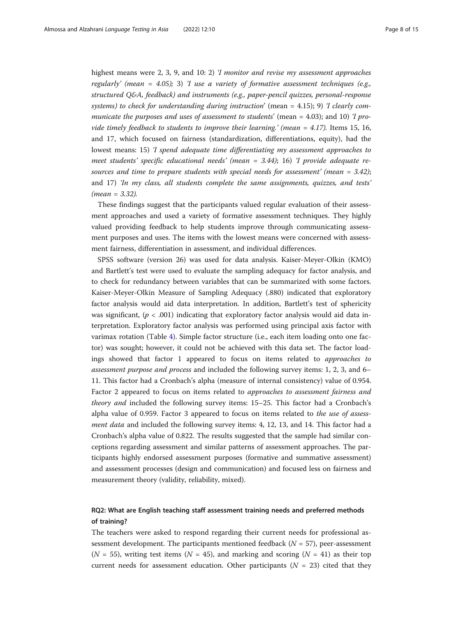highest means were 2, 3, 9, and 10: 2) *T monitor and revise my assessment approaches* regularly' (mean = 4.05); 3) 'I use a variety of formative assessment techniques (e.g., structured Q&A, feedback) and instruments (e.g., paper-pencil quizzes, personal-response systems) to check for understanding during instruction' (mean  $= 4.15$ ); 9) T clearly communicate the purposes and uses of assessment to students' (mean = 4.03); and 10) *T* provide timely feedback to students to improve their learning.' (mean =  $4.17$ ). Items 15, 16, and 17, which focused on fairness (standardization, differentiations, equity), had the lowest means: 15) 'I spend adequate time differentiating my assessment approaches to meet students' specific educational needs' (mean  $=$  3.44); 16) T provide adequate resources and time to prepare students with special needs for assessment' (mean  $= 3.42$ ); and 17) 'In my class, all students complete the same assignments, quizzes, and tests'  $(mean = 3.32)$ .

These findings suggest that the participants valued regular evaluation of their assessment approaches and used a variety of formative assessment techniques. They highly valued providing feedback to help students improve through communicating assessment purposes and uses. The items with the lowest means were concerned with assessment fairness, differentiation in assessment, and individual differences.

SPSS software (version 26) was used for data analysis. Kaiser-Meyer-Olkin (KMO) and Bartlett's test were used to evaluate the sampling adequacy for factor analysis, and to check for redundancy between variables that can be summarized with some factors. Kaiser-Meyer-Olkin Measure of Sampling Adequacy (.880) indicated that exploratory factor analysis would aid data interpretation. In addition, Bartlett's test of sphericity was significant,  $(p < .001)$  indicating that exploratory factor analysis would aid data interpretation. Exploratory factor analysis was performed using principal axis factor with varimax rotation (Table [4\)](#page-8-0). Simple factor structure (i.e., each item loading onto one factor) was sought; however, it could not be achieved with this data set. The factor loadings showed that factor 1 appeared to focus on items related to approaches to assessment purpose and process and included the following survey items: 1, 2, 3, and 6– 11. This factor had a Cronbach's alpha (measure of internal consistency) value of 0.954. Factor 2 appeared to focus on items related to approaches to assessment fairness and theory and included the following survey items: 15–25. This factor had a Cronbach's alpha value of 0.959. Factor 3 appeared to focus on items related to the use of assessment data and included the following survey items: 4, 12, 13, and 14. This factor had a Cronbach's alpha value of 0.822. The results suggested that the sample had similar conceptions regarding assessment and similar patterns of assessment approaches. The participants highly endorsed assessment purposes (formative and summative assessment) and assessment processes (design and communication) and focused less on fairness and measurement theory (validity, reliability, mixed).

## RQ2: What are English teaching staff assessment training needs and preferred methods of training?

The teachers were asked to respond regarding their current needs for professional assessment development. The participants mentioned feedback  $(N = 57)$ , peer-assessment ( $N = 55$ ), writing test items ( $N = 45$ ), and marking and scoring ( $N = 41$ ) as their top current needs for assessment education. Other participants ( $N = 23$ ) cited that they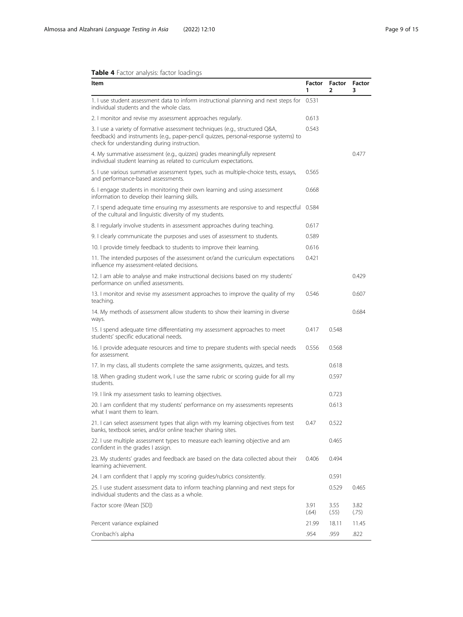## <span id="page-8-0"></span>Table 4 Factor analysis: factor loadings

| Item                                                                                                                                                                                                                | 1             | Factor Factor Factor<br>2 | 3             |
|---------------------------------------------------------------------------------------------------------------------------------------------------------------------------------------------------------------------|---------------|---------------------------|---------------|
| 1. I use student assessment data to inform instructional planning and next steps for 0.531<br>individual students and the whole class.                                                                              |               |                           |               |
| 2. I monitor and revise my assessment approaches regularly.                                                                                                                                                         | 0.613         |                           |               |
| 3. I use a variety of formative assessment techniques (e.g., structured Q&A,<br>feedback) and instruments (e.g., paper-pencil quizzes, personal-response systems) to<br>check for understanding during instruction. | 0.543         |                           |               |
| 4. My summative assessment (e.g., quizzes) grades meaningfully represent<br>individual student learning as related to curriculum expectations.                                                                      |               |                           | 0.477         |
| 5. I use various summative assessment types, such as multiple-choice tests, essays,<br>and performance-based assessments.                                                                                           | 0.565         |                           |               |
| 6. I engage students in monitoring their own learning and using assessment<br>information to develop their learning skills.                                                                                         | 0.668         |                           |               |
| 7. I spend adequate time ensuring my assessments are responsive to and respectful 0.584<br>of the cultural and linguistic diversity of my students.                                                                 |               |                           |               |
| 8. I regularly involve students in assessment approaches during teaching.                                                                                                                                           | 0.617         |                           |               |
| 9. I clearly communicate the purposes and uses of assessment to students.                                                                                                                                           | 0.589         |                           |               |
| 10. I provide timely feedback to students to improve their learning.                                                                                                                                                | 0.616         |                           |               |
| 11. The intended purposes of the assessment or/and the curriculum expectations<br>influence my assessment-related decisions.                                                                                        | 0.421         |                           |               |
| 12. I am able to analyse and make instructional decisions based on my students'<br>performance on unified assessments.                                                                                              |               |                           | 0.429         |
| 13. I monitor and revise my assessment approaches to improve the quality of my<br>teaching.                                                                                                                         | 0546          |                           | 0.607         |
| 14. My methods of assessment allow students to show their learning in diverse<br>ways.                                                                                                                              |               |                           | 0.684         |
| 15. I spend adequate time differentiating my assessment approaches to meet<br>students' specific educational needs.                                                                                                 | 0.417         | 0.548                     |               |
| 16. I provide adequate resources and time to prepare students with special needs<br>for assessment.                                                                                                                 | 0.556         | 0.568                     |               |
| 17. In my class, all students complete the same assignments, quizzes, and tests.                                                                                                                                    |               | 0.618                     |               |
| 18. When grading student work, I use the same rubric or scoring guide for all my<br>students.                                                                                                                       |               | 0.597                     |               |
| 19. I link my assessment tasks to learning objectives.                                                                                                                                                              |               | 0.723                     |               |
| 20. I am confident that my students' performance on my assessments represents<br>what I want them to learn.                                                                                                         |               | 0.613                     |               |
| 21. I can select assessment types that align with my learning objectives from test<br>banks, textbook series, and/or online teacher sharing sites.                                                                  | 0.47          | 0.522                     |               |
| 22. I use multiple assessment types to measure each learning objective and am<br>confident in the grades I assign.                                                                                                  |               | 0.465                     |               |
| 23. My students' grades and feedback are based on the data collected about their<br>learning achievement.                                                                                                           | 0.406         | 0.494                     |               |
| 24. I am confident that I apply my scoring guides/rubrics consistently.                                                                                                                                             |               | 0.591                     |               |
| 25. Luse student assessment data to inform teaching planning and next steps for<br>individual students and the class as a whole.                                                                                    |               | 0.529                     | 0.465         |
| Factor score (Mean [SD])                                                                                                                                                                                            | 3.91<br>(.64) | 3.55<br>(.55)             | 3.82<br>(.75) |
| Percent variance explained                                                                                                                                                                                          | 21.99         | 18.11                     | 11.45         |
| Cronbach's alpha                                                                                                                                                                                                    | .954          | .959                      | .822          |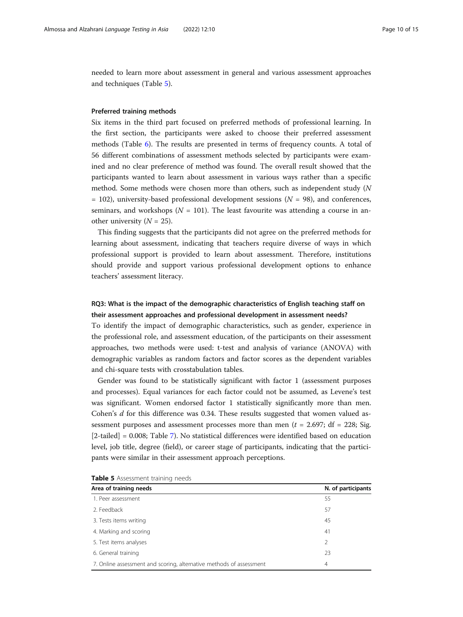needed to learn more about assessment in general and various assessment approaches and techniques (Table 5).

### Preferred training methods

Six items in the third part focused on preferred methods of professional learning. In the first section, the participants were asked to choose their preferred assessment methods (Table [6](#page-10-0)). The results are presented in terms of frequency counts. A total of 56 different combinations of assessment methods selected by participants were examined and no clear preference of method was found. The overall result showed that the participants wanted to learn about assessment in various ways rather than a specific method. Some methods were chosen more than others, such as independent study (N  $= 102$ ), university-based professional development sessions ( $N = 98$ ), and conferences, seminars, and workshops ( $N = 101$ ). The least favourite was attending a course in another university  $(N = 25)$ .

This finding suggests that the participants did not agree on the preferred methods for learning about assessment, indicating that teachers require diverse of ways in which professional support is provided to learn about assessment. Therefore, institutions should provide and support various professional development options to enhance teachers' assessment literacy.

## RQ3: What is the impact of the demographic characteristics of English teaching staff on their assessment approaches and professional development in assessment needs?

To identify the impact of demographic characteristics, such as gender, experience in the professional role, and assessment education, of the participants on their assessment approaches, two methods were used: t-test and analysis of variance (ANOVA) with demographic variables as random factors and factor scores as the dependent variables and chi-square tests with crosstabulation tables.

Gender was found to be statistically significant with factor 1 (assessment purposes and processes). Equal variances for each factor could not be assumed, as Levene's test was significant. Women endorsed factor 1 statistically significantly more than men. Cohen's  $d$  for this difference was 0.34. These results suggested that women valued assessment purposes and assessment processes more than men ( $t = 2.697$ ; df = 228; Sig. [2-tailed] = 0.008; Table [7\)](#page-10-0). No statistical differences were identified based on education level, job title, degree (field), or career stage of participants, indicating that the participants were similar in their assessment approach perceptions.

| Area of training needs                                              | N. of participants |
|---------------------------------------------------------------------|--------------------|
| 1. Peer assessment                                                  | 55                 |
| 2. Feedback                                                         | 57                 |
| 3. Tests items writing                                              | 45                 |
| 4. Marking and scoring                                              | 4 <sup>1</sup>     |
| 5. Test items analyses                                              | 2                  |
| 6. General training                                                 | 23                 |
| 7. Online assessment and scoring, alternative methods of assessment | 4                  |

|  | Table 5 Assessment training needs |  |  |
|--|-----------------------------------|--|--|
|--|-----------------------------------|--|--|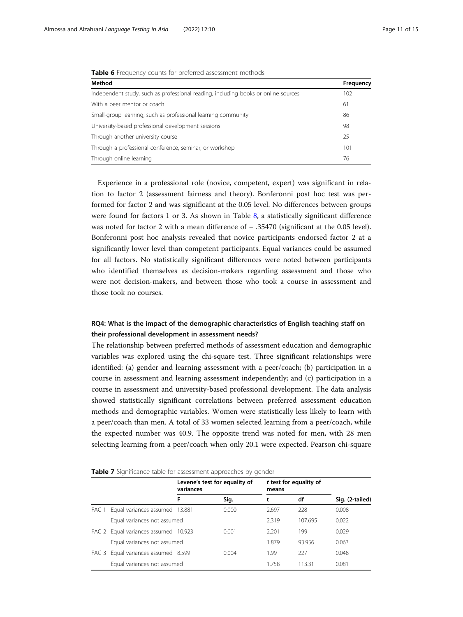| <b>EQUIPMENT IN THE COUNTING INTERFERIER ASSESSMENTE INCORPORATION</b>             |           |  |  |  |  |
|------------------------------------------------------------------------------------|-----------|--|--|--|--|
| Method                                                                             | Frequency |  |  |  |  |
| Independent study, such as professional reading, including books or online sources | 102       |  |  |  |  |
| With a peer mentor or coach                                                        | 61        |  |  |  |  |
| Small-group learning, such as professional learning community                      | 86        |  |  |  |  |
| University-based professional development sessions                                 | 98        |  |  |  |  |
| Through another university course                                                  | 25        |  |  |  |  |
| Through a professional conference, seminar, or workshop                            | 101       |  |  |  |  |
| Through online learning                                                            | 76        |  |  |  |  |

<span id="page-10-0"></span>Table 6 Frequency counts for preferred assessment methods

Experience in a professional role (novice, competent, expert) was significant in relation to factor 2 (assessment fairness and theory). Bonferonni post hoc test was performed for factor 2 and was significant at the 0.05 level. No differences between groups were found for factors 1 or 3. As shown in Table [8,](#page-11-0) a statistically significant difference was noted for factor 2 with a mean difference of − .35470 (significant at the 0.05 level). Bonferonni post hoc analysis revealed that novice participants endorsed factor 2 at a significantly lower level than competent participants. Equal variances could be assumed for all factors. No statistically significant differences were noted between participants who identified themselves as decision-makers regarding assessment and those who were not decision-makers, and between those who took a course in assessment and those took no courses.

## RQ4: What is the impact of the demographic characteristics of English teaching staff on their professional development in assessment needs?

The relationship between preferred methods of assessment education and demographic variables was explored using the chi-square test. Three significant relationships were identified: (a) gender and learning assessment with a peer/coach; (b) participation in a course in assessment and learning assessment independently; and (c) participation in a course in assessment and university-based professional development. The data analysis showed statistically significant correlations between preferred assessment education methods and demographic variables. Women were statistically less likely to learn with a peer/coach than men. A total of 33 women selected learning from a peer/coach, while the expected number was 40.9. The opposite trend was noted for men, with 28 men selecting learning from a peer/coach when only 20.1 were expected. Pearson chi-square

| Table 7 Significance table for assessment approaches by gender |  |  |
|----------------------------------------------------------------|--|--|
|                                                                |  |  |

|       |                                | Levene's test for equality of<br>variances |       | means | t test for equality of |                 |
|-------|--------------------------------|--------------------------------------------|-------|-------|------------------------|-----------------|
|       |                                | F                                          | Sig.  |       | df                     | Sig. (2-tailed) |
| FAC 1 | Equal variances assumed 13.881 |                                            | 0.000 | 2.697 | 228                    | 0.008           |
|       | Equal variances not assumed    |                                            |       | 2.319 | 107695                 | 0.022           |
| FAC 2 | Equal variances assumed 10.923 |                                            | 0.001 | 2.201 | 199                    | 0.029           |
|       | Equal variances not assumed    |                                            |       | 1879  | 93 956                 | 0.063           |
| FAC 3 | Equal variances assumed 8.599  |                                            | 0.004 | 1.99  | 227                    | 0.048           |
|       | Equal variances not assumed    |                                            |       | 1.758 | 113.31                 | 0.081           |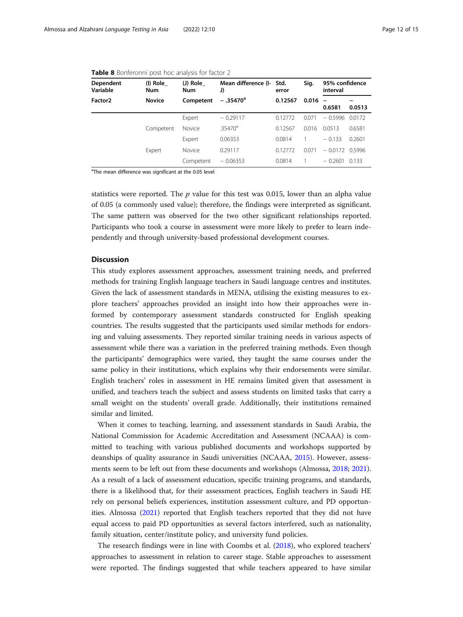| <b>Dependent</b><br>Variable | (I) Role<br>Num | (J) Role<br>Num | Mean difference (I- Std.<br>J) | error   | Sig.  | 95% confidence<br>interval         |        |
|------------------------------|-----------------|-----------------|--------------------------------|---------|-------|------------------------------------|--------|
| Factor <sub>2</sub>          | <b>Novice</b>   | Competent       | $-.35470a$                     | 0.12567 | 0.016 | $\overline{\phantom{0}}$<br>0.6581 | 0.0513 |
|                              |                 | Expert          | $-0.29117$                     | 0.12772 | 0.071 | $-0.5996$                          | 0.0172 |
|                              | Competent       | Novice          | .35470 <sup>a</sup>            | 0.12567 | 0.016 | 0.0513                             | 0.6581 |
|                              |                 | Expert          | 0.06353                        | 0.0814  |       | $-0.133$                           | 0.2601 |
|                              | Expert          | Novice          | 0.29117                        | 0.12772 | 0.071 | $-0.0172$                          | 0.5996 |
|                              |                 | Competent       | $-0.06353$                     | 0.0814  |       | $-0.2601$                          | 0.133  |

<span id="page-11-0"></span>

| Table 8 Bonferonni post hoc analysis for factor 2 |  |  |  |  |  |  |
|---------------------------------------------------|--|--|--|--|--|--|
|---------------------------------------------------|--|--|--|--|--|--|

<sup>a</sup>The mean difference was significant at the 0.05 level

statistics were reported. The  $p$  value for this test was 0.015, lower than an alpha value of 0.05 (a commonly used value); therefore, the findings were interpreted as significant. The same pattern was observed for the two other significant relationships reported. Participants who took a course in assessment were more likely to prefer to learn independently and through university-based professional development courses.

## **Discussion**

This study explores assessment approaches, assessment training needs, and preferred methods for training English language teachers in Saudi language centres and institutes. Given the lack of assessment standards in MENA, utilising the existing measures to explore teachers' approaches provided an insight into how their approaches were informed by contemporary assessment standards constructed for English speaking countries. The results suggested that the participants used similar methods for endorsing and valuing assessments. They reported similar training needs in various aspects of assessment while there was a variation in the preferred training methods. Even though the participants' demographics were varied, they taught the same courses under the same policy in their institutions, which explains why their endorsements were similar. English teachers' roles in assessment in HE remains limited given that assessment is unified, and teachers teach the subject and assess students on limited tasks that carry a small weight on the students' overall grade. Additionally, their institutions remained similar and limited.

When it comes to teaching, learning, and assessment standards in Saudi Arabia, the National Commission for Academic Accreditation and Assessment (NCAAA) is committed to teaching with various published documents and workshops supported by deanships of quality assurance in Saudi universities (NCAAA, [2015\)](#page-14-0). However, assessments seem to be left out from these documents and workshops (Almossa, [2018;](#page-13-0) [2021](#page-13-0)). As a result of a lack of assessment education, specific training programs, and standards, there is a likelihood that, for their assessment practices, English teachers in Saudi HE rely on personal beliefs experiences, institution assessment culture, and PD opportunities. Almossa ([2021\)](#page-13-0) reported that English teachers reported that they did not have equal access to paid PD opportunities as several factors interfered, such as nationality, family situation, center/institute policy, and university fund policies.

The research findings were in line with Coombs et al. ([2018](#page-14-0)), who explored teachers' approaches to assessment in relation to career stage. Stable approaches to assessment were reported. The findings suggested that while teachers appeared to have similar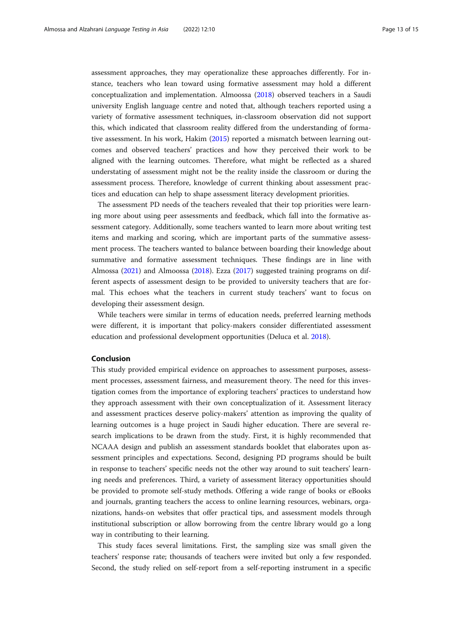assessment approaches, they may operationalize these approaches differently. For instance, teachers who lean toward using formative assessment may hold a different conceptualization and implementation. Almoossa [\(2018](#page-13-0)) observed teachers in a Saudi university English language centre and noted that, although teachers reported using a variety of formative assessment techniques, in-classroom observation did not support this, which indicated that classroom reality differed from the understanding of formative assessment. In his work, Hakim [\(2015](#page-14-0)) reported a mismatch between learning outcomes and observed teachers' practices and how they perceived their work to be aligned with the learning outcomes. Therefore, what might be reflected as a shared understating of assessment might not be the reality inside the classroom or during the assessment process. Therefore, knowledge of current thinking about assessment practices and education can help to shape assessment literacy development priorities.

The assessment PD needs of the teachers revealed that their top priorities were learning more about using peer assessments and feedback, which fall into the formative assessment category. Additionally, some teachers wanted to learn more about writing test items and marking and scoring, which are important parts of the summative assessment process. The teachers wanted to balance between boarding their knowledge about summative and formative assessment techniques. These findings are in line with Almossa ([2021\)](#page-13-0) and Almoossa ([2018\)](#page-13-0). Ezza [\(2017\)](#page-14-0) suggested training programs on different aspects of assessment design to be provided to university teachers that are formal. This echoes what the teachers in current study teachers' want to focus on developing their assessment design.

While teachers were similar in terms of education needs, preferred learning methods were different, it is important that policy-makers consider differentiated assessment education and professional development opportunities (Deluca et al. [2018](#page-14-0)).

## Conclusion

This study provided empirical evidence on approaches to assessment purposes, assessment processes, assessment fairness, and measurement theory. The need for this investigation comes from the importance of exploring teachers' practices to understand how they approach assessment with their own conceptualization of it. Assessment literacy and assessment practices deserve policy-makers' attention as improving the quality of learning outcomes is a huge project in Saudi higher education. There are several research implications to be drawn from the study. First, it is highly recommended that NCAAA design and publish an assessment standards booklet that elaborates upon assessment principles and expectations. Second, designing PD programs should be built in response to teachers' specific needs not the other way around to suit teachers' learning needs and preferences. Third, a variety of assessment literacy opportunities should be provided to promote self-study methods. Offering a wide range of books or eBooks and journals, granting teachers the access to online learning resources, webinars, organizations, hands-on websites that offer practical tips, and assessment models through institutional subscription or allow borrowing from the centre library would go a long way in contributing to their learning.

This study faces several limitations. First, the sampling size was small given the teachers' response rate; thousands of teachers were invited but only a few responded. Second, the study relied on self-report from a self-reporting instrument in a specific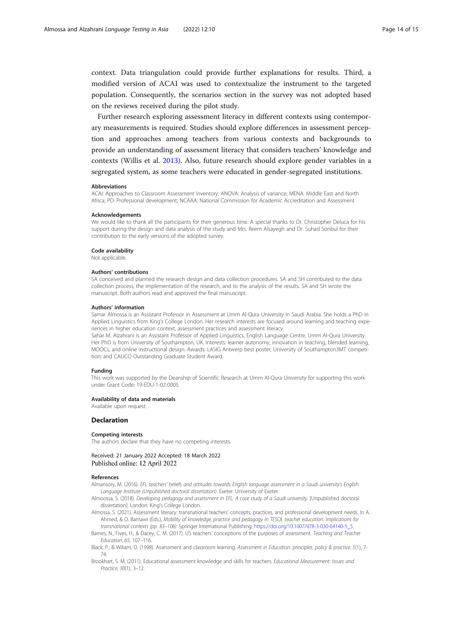<span id="page-13-0"></span>context. Data triangulation could provide further explanations for results. Third, a modified version of ACAI was used to contextualize the instrument to the targeted population. Consequently, the scenarios section in the survey was not adopted based on the reviews received during the pilot study.

Further research exploring assessment literacy in different contexts using contemporary measurements is required. Studies should explore differences in assessment perception and approaches among teachers from various contexts and backgrounds to provide an understanding of assessment literacy that considers teachers' knowledge and contexts (Willis et al. [2013](#page-14-0)). Also, future research should explore gender variables in a segregated system, as some teachers were educated in gender-segregated institutions.

### Abbreviations

ACAI: Approaches to Classroom Assessment Inventory; ANOVA: Analysis of variance; MENA: Middle East and North Africa; PD: Professional development; NCAAA: National Commission for Academic Accreditation and Assessment

#### Acknowledgements

We would like to thank all the participants for their generous time. A special thanks to Dr. Christopher Deluca for his support during the design and data analysis of the study and Mrs. Reem Alsayegh and Dr. Suhad Sonbul for their contribution to the early versions of the adopted survey.

#### Code availability

Not applicable.

#### Authors' contributions

SA conceived and planned the research design and data collection procedures. SA and SH contributed to the data collection process, the implementation of the research, and to the analysis of the results. SA and SH wrote the manuscript. Both authors read and approved the final manuscript.

#### Authors' information

Samar Almossa is an Assistant Professor in Assessment at Umm Al-Qura University in Saudi Arabia. She holds a PhD in Applied Linguistics from King's College London. Her research interests are focused around learning and teaching experiences in higher education context, assessment practices and assessment literacy.

Sahar M. Alzahrani is an Assistant Professor of Applied Linguistics, English Language Centre, Umm Al-Qura University. Her PhD is from University of Southampton, UK. Interests: learner autonomy, innovation in teaching, blended learning, MOOCs, and online instructional design. Awards: LASIG Antwerp best poster; University of Southampton3MT competition; and CALICO Outstanding Graduate Student Award.

#### Funding

This work was supported by the Deanship of Scientific Research at Umm Al-Qura University for supporting this work under Grant Code: 19-EDU-1-02-0005.

## Availability of data and materials

Available upon request.

#### Declaration

#### Competing interests

The authors declare that they have no competing interests.

Received: 21 January 2022 Accepted: 18 March 2022 Published online: 12 April 2022

#### References

Almansory, M. (2016). EFL teachers' beliefs and attitudes towards English language assessment in a Saudi university's English Language Institute (Unpublished doctoral dissertation). Exeter: University of Exeter.

- Almoossa, S. (2018). Developing pedagogy and assessment in EFL: A case study of a Saudi university. [Unpublished doctoral dissertation]. London: King's College London.
- Almossa, S. (2021). Assessment literacy: transnational teachers' concepts, practices, and professional development needs. In A. Ahmed, & O. Barnawi (Eds.), Mobility of knowledge, practice and pedagogy in TESOL teacher education: Implications for
- transnational contexts (pp. 83–106). Springer International Publishing. [https://doi.org/10.1007/978-3-030-64140-5\\_5](https://doi.org/10.1007/978-3-030-64140-5_5). Barnes, N., Fives, H., & Dacey, C. M. (2017). US teachers' conceptions of the purposes of assessment. Teaching and Teacher Education, 65, 107–116.
- Black, P., & Wiliam, D. (1998). Assessment and classroom learning. Assessment in Education: principles, policy & practice, 5(1), 7- 74.
- Brookhart, S. M. (2011). Educational assessment knowledge and skills for teachers. Educational Measurement: Issues and Practice, 30(1), 3–12.